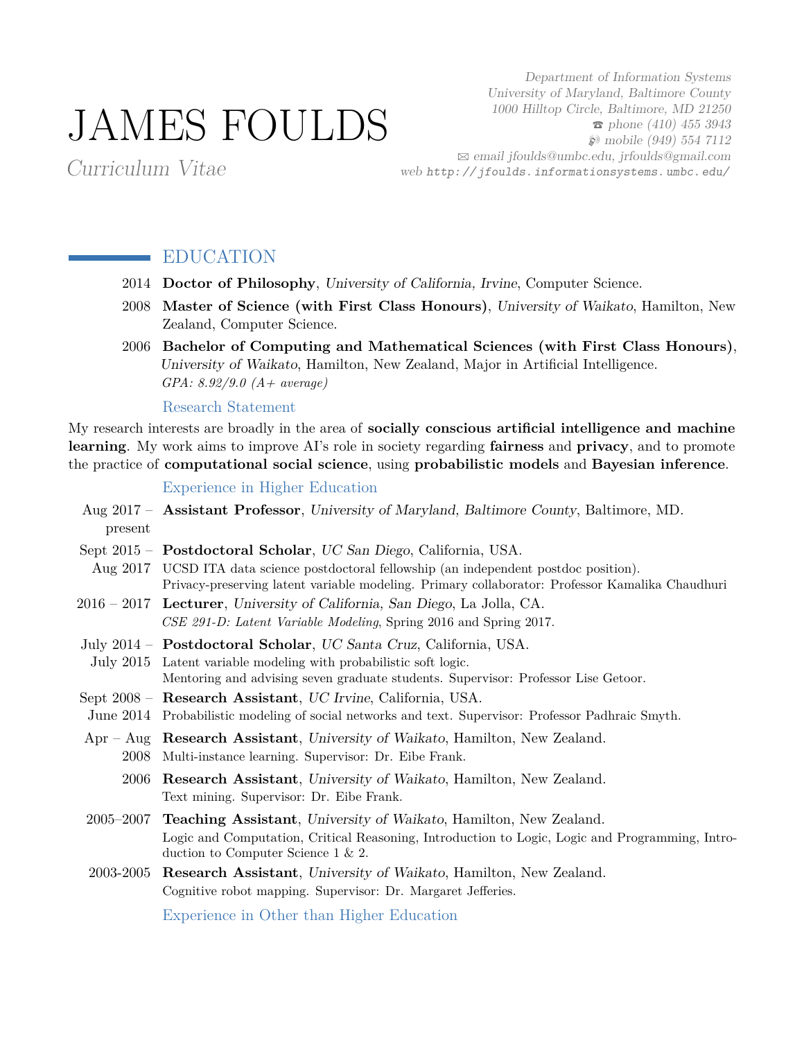# JAMES FOULDS

Department of Information Systems University of Maryland, Baltimore County 1000 Hilltop Circle, Baltimore, MD 21250  $\epsilon$  phone (410) 455 3943  $\wp$  mobile (949) 554 7112 B [email jfoulds@umbc.edu, jrfoulds@gmail.com](mailto:email jfoulds@umbc.edu, jrfoulds@gmail.com) web [http: // jfoulds. informationsystems. umbc. edu/](http://jfoulds.informationsystems.umbc.edu/)

Curriculum Vitae

## EDUCATION

- 2014 **Doctor of Philosophy**, University of California, Irvine, Computer Science.
- 2008 **Master of Science (with First Class Honours)**, University of Waikato, Hamilton, New Zealand, Computer Science.
- 2006 **Bachelor of Computing and Mathematical Sciences (with First Class Honours)**, University of Waikato, Hamilton, New Zealand, Major in Artificial Intelligence. *GPA: 8.92/9.0 (A+ average)*

Research Statement

My research interests are broadly in the area of **socially conscious artificial intelligence and machine learning**. My work aims to improve AI's role in society regarding **fairness** and **privacy**, and to promote the practice of **computational social science**, using **probabilistic models** and **Bayesian inference**.

## Experience in Higher Education

| present   | Aug 2017 - Assistant Professor, University of Maryland, Baltimore County, Baltimore, MD.                                                                                                                                                                         |
|-----------|------------------------------------------------------------------------------------------------------------------------------------------------------------------------------------------------------------------------------------------------------------------|
|           | Sept 2015 - Postdoctoral Scholar, UC San Diego, California, USA.<br>Aug 2017 UCSD ITA data science postdoctoral fellowship (an independent postdoc position).<br>Privacy-preserving latent variable modeling. Primary collaborator: Professor Kamalika Chaudhuri |
|           | 2016 – 2017 Lecturer, University of California, San Diego, La Jolla, CA.<br>CSE 291-D: Latent Variable Modeling, Spring 2016 and Spring 2017.                                                                                                                    |
|           | July 2014 - Postdoctoral Scholar, UC Santa Cruz, California, USA.<br>July 2015 Latent variable modeling with probabilistic soft logic.<br>Mentoring and advising seven graduate students. Supervisor: Professor Lise Getoor.                                     |
|           | Sept 2008 - Research Assistant, UC Irvine, California, USA.<br>June 2014 Probabilistic modeling of social networks and text. Supervisor: Professor Padhraic Smyth.                                                                                               |
| 2008      | $Apr - Aug$ Research Assistant, University of Waikato, Hamilton, New Zealand.<br>Multi-instance learning. Supervisor: Dr. Eibe Frank.                                                                                                                            |
| 2006      | <b>Research Assistant</b> , University of Waikato, Hamilton, New Zealand.<br>Text mining. Supervisor: Dr. Eibe Frank.                                                                                                                                            |
|           | 2005–2007 Teaching Assistant, University of Waikato, Hamilton, New Zealand.<br>Logic and Computation, Critical Reasoning, Introduction to Logic, Logic and Programming, Intro-<br>duction to Computer Science $1 \& 2$ .                                         |
| 2003-2005 | Research Assistant, University of Waikato, Hamilton, New Zealand.<br>Cognitive robot mapping. Supervisor: Dr. Margaret Jefferies.                                                                                                                                |

Experience in Other than Higher Education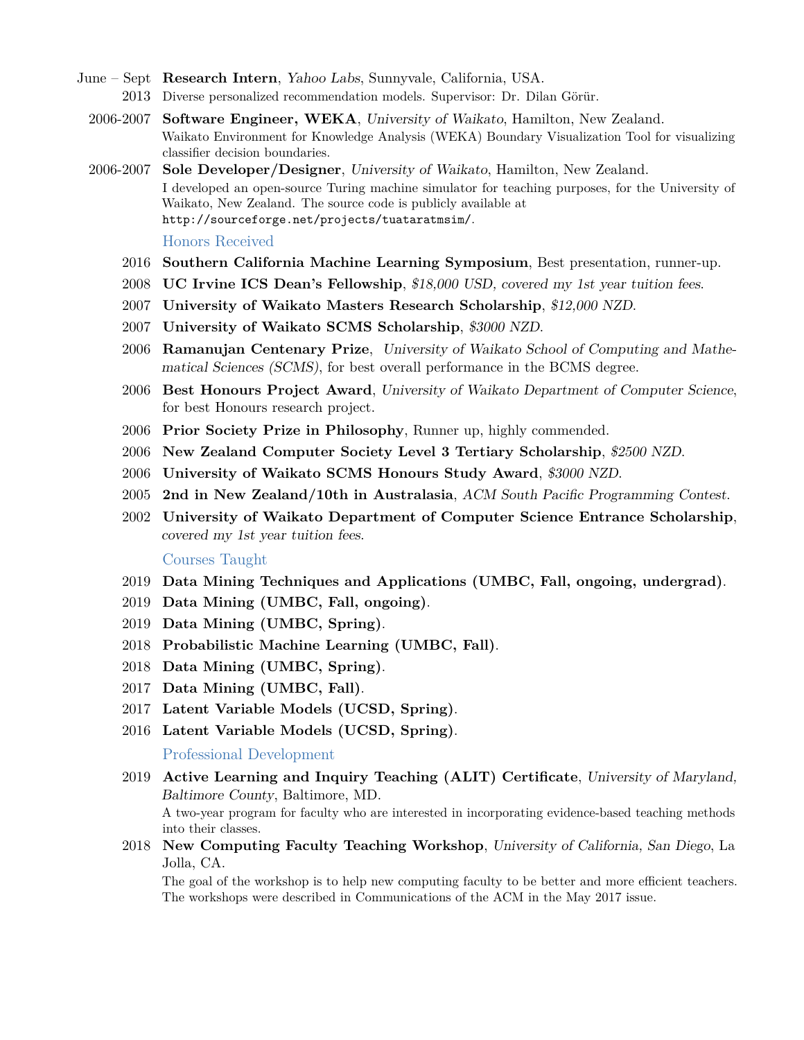- June Sept **Research Intern**, Yahoo Labs, Sunnyvale, California, USA. 2013 Diverse personalized recommendation models. Supervisor: Dr. Dilan Görür.
	- 2006-2007 **Software Engineer, WEKA**, University of Waikato, Hamilton, New Zealand. Waikato Environment for Knowledge Analysis (WEKA) Boundary Visualization Tool for visualizing classifier decision boundaries.
	- 2006-2007 **Sole Developer/Designer**, University of Waikato, Hamilton, New Zealand. I developed an open-source Turing machine simulator for teaching purposes, for the University of Waikato, New Zealand. The source code is publicly available at <http://sourceforge.net/projects/tuataratmsim/>.

#### Honors Received

- 2016 **Southern California Machine Learning Symposium**, Best presentation, runner-up.
- 2008 **UC Irvine ICS Dean's Fellowship**, \$18,000 USD, covered my 1st year tuition fees.
- 2007 **University of Waikato Masters Research Scholarship**, \$12,000 NZD.
- 2007 **University of Waikato SCMS Scholarship**, \$3000 NZD.
- 2006 **Ramanujan Centenary Prize**, University of Waikato School of Computing and Mathematical Sciences (SCMS), for best overall performance in the BCMS degree.
- 2006 **Best Honours Project Award**, University of Waikato Department of Computer Science, for best Honours research project.
- 2006 **Prior Society Prize in Philosophy**, Runner up, highly commended.
- 2006 **New Zealand Computer Society Level 3 Tertiary Scholarship**, \$2500 NZD.
- 2006 **University of Waikato SCMS Honours Study Award**, \$3000 NZD.
- 2005 **2nd in New Zealand/10th in Australasia**, ACM South Pacific Programming Contest.
- 2002 **University of Waikato Department of Computer Science Entrance Scholarship**, covered my 1st year tuition fees.

## Courses Taught

- 2019 **Data Mining Techniques and Applications (UMBC, Fall, ongoing, undergrad)**.
- 2019 **Data Mining (UMBC, Fall, ongoing)**.
- 2019 **Data Mining (UMBC, Spring)**.
- 2018 **Probabilistic Machine Learning (UMBC, Fall)**.
- 2018 **Data Mining (UMBC, Spring)**.
- 2017 **Data Mining (UMBC, Fall)**.
- 2017 **Latent Variable Models (UCSD, Spring)**.
- 2016 **Latent Variable Models (UCSD, Spring)**.

Professional Development

2019 **Active Learning and Inquiry Teaching (ALIT) Certificate**, University of Maryland, Baltimore County, Baltimore, MD.

A two-year program for faculty who are interested in incorporating evidence-based teaching methods into their classes.

2018 **New Computing Faculty Teaching Workshop**, University of California, San Diego, La Jolla, CA.

The goal of the workshop is to help new computing faculty to be better and more efficient teachers. The workshops were described in Communications of the ACM in the May 2017 issue.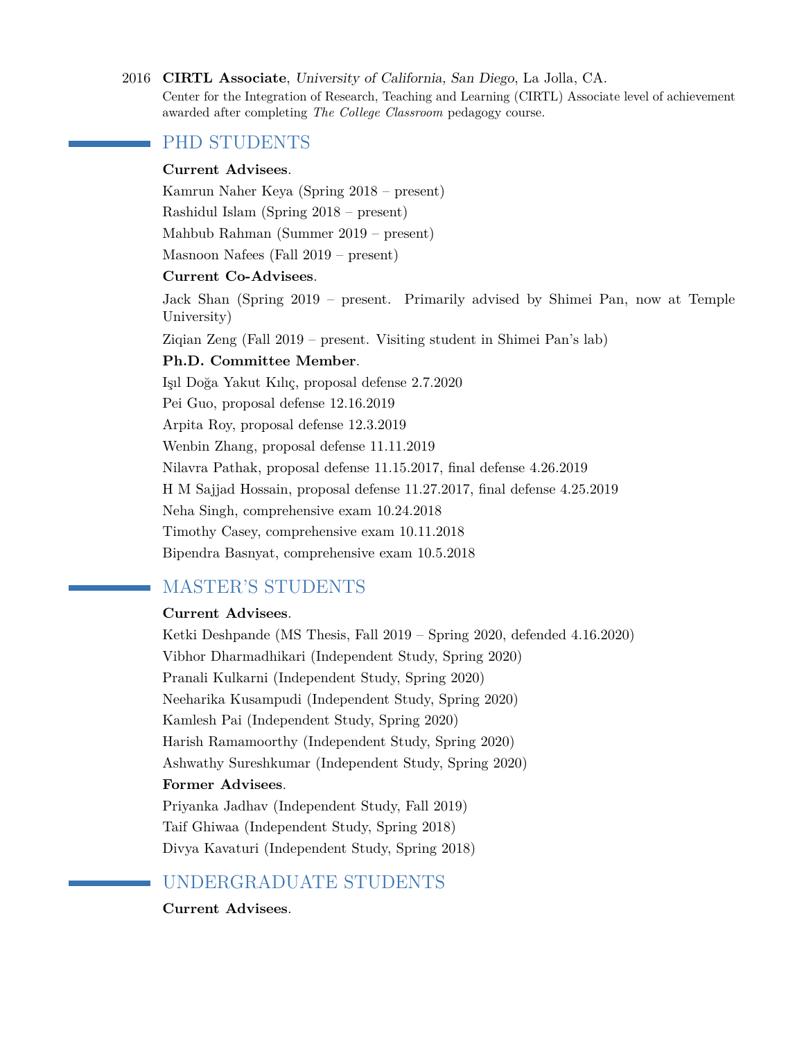#### 2016 **CIRTL Associate**, University of California, San Diego, La Jolla, CA.

Center for the Integration of Research, Teaching and Learning (CIRTL) Associate level of achievement awarded after completing *The College Classroom* pedagogy course.

## PHD STUDENTS

## **Current Advisees**.

Kamrun Naher Keya (Spring 2018 – present)

Rashidul Islam (Spring 2018 – present)

Mahbub Rahman (Summer 2019 – present)

Masnoon Nafees (Fall 2019 – present)

## **Current Co-Advisees**.

Jack Shan (Spring 2019 – present. Primarily advised by Shimei Pan, now at Temple University)

Ziqian Zeng (Fall 2019 – present. Visiting student in Shimei Pan's lab)

## **Ph.D. Committee Member**.

Işıl Doğa Yakut Kılıç, proposal defense 2.7.2020 Pei Guo, proposal defense 12.16.2019 Arpita Roy, proposal defense 12.3.2019 Wenbin Zhang, proposal defense 11.11.2019 Nilavra Pathak, proposal defense 11.15.2017, final defense 4.26.2019 H M Sajjad Hossain, proposal defense 11.27.2017, final defense 4.25.2019 Neha Singh, comprehensive exam 10.24.2018 Timothy Casey, comprehensive exam 10.11.2018 Bipendra Basnyat, comprehensive exam 10.5.2018

## MASTER'S STUDENTS

## **Current Advisees**.

Ketki Deshpande (MS Thesis, Fall 2019 – Spring 2020, defended 4.16.2020) Vibhor Dharmadhikari (Independent Study, Spring 2020) Pranali Kulkarni (Independent Study, Spring 2020) Neeharika Kusampudi (Independent Study, Spring 2020) Kamlesh Pai (Independent Study, Spring 2020) Harish Ramamoorthy (Independent Study, Spring 2020) Ashwathy Sureshkumar (Independent Study, Spring 2020) **Former Advisees**. Priyanka Jadhav (Independent Study, Fall 2019) Taif Ghiwaa (Independent Study, Spring 2018) Divya Kavaturi (Independent Study, Spring 2018)

# UNDERGRADUATE STUDENTS

**Current Advisees**.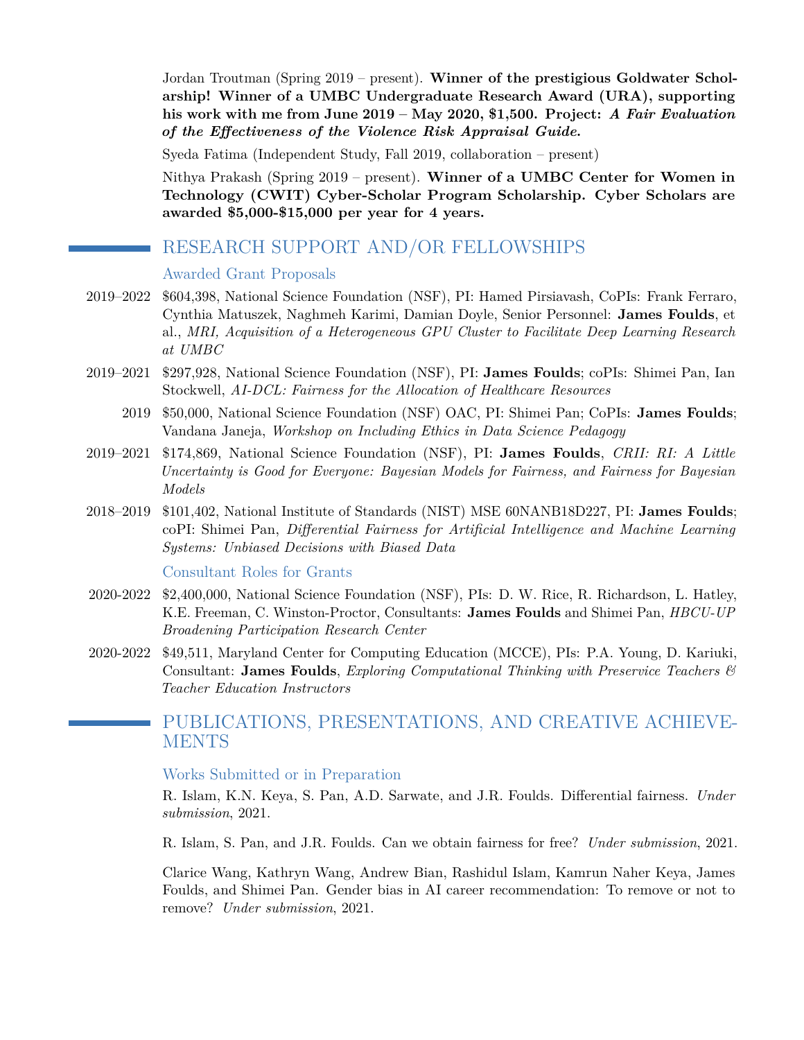Jordan Troutman (Spring 2019 – present). **Winner of the prestigious Goldwater Scholarship! Winner of a UMBC Undergraduate Research Award (URA), supporting his work with me from June 2019 – May 2020, \$1,500. Project:** *A Fair Evaluation of the Effectiveness of the Violence Risk Appraisal Guide***.**

Syeda Fatima (Independent Study, Fall 2019, collaboration – present)

Nithya Prakash (Spring 2019 – present). **Winner of a UMBC Center for Women in Technology (CWIT) Cyber-Scholar Program Scholarship. Cyber Scholars are awarded \$5,000-\$15,000 per year for 4 years.**

## RESEARCH SUPPORT AND/OR FELLOWSHIPS

Awarded Grant Proposals

- 2019–2022 \$604,398, National Science Foundation (NSF), PI: Hamed Pirsiavash, CoPIs: Frank Ferraro, Cynthia Matuszek, Naghmeh Karimi, Damian Doyle, Senior Personnel: **James Foulds**, et al., *MRI, Acquisition of a Heterogeneous GPU Cluster to Facilitate Deep Learning Research at UMBC*
- 2019–2021 \$297,928, National Science Foundation (NSF), PI: **James Foulds**; coPIs: Shimei Pan, Ian Stockwell, *AI-DCL: Fairness for the Allocation of Healthcare Resources*
	- 2019 \$50,000, National Science Foundation (NSF) OAC, PI: Shimei Pan; CoPIs: **James Foulds**; Vandana Janeja, *Workshop on Including Ethics in Data Science Pedagogy*
- 2019–2021 \$174,869, National Science Foundation (NSF), PI: **James Foulds**, *CRII: RI: A Little Uncertainty is Good for Everyone: Bayesian Models for Fairness, and Fairness for Bayesian Models*
- 2018–2019 \$101,402, National Institute of Standards (NIST) MSE 60NANB18D227, PI: **James Foulds**; coPI: Shimei Pan, *Differential Fairness for Artificial Intelligence and Machine Learning Systems: Unbiased Decisions with Biased Data*

Consultant Roles for Grants

- 2020-2022 \$2,400,000, National Science Foundation (NSF), PIs: D. W. Rice, R. Richardson, L. Hatley, K.E. Freeman, C. Winston-Proctor, Consultants: **James Foulds** and Shimei Pan, *HBCU-UP Broadening Participation Research Center*
- 2020-2022 \$49,511, Maryland Center for Computing Education (MCCE), PIs: P.A. Young, D. Kariuki, Consultant: **James Foulds**, *Exploring Computational Thinking with Preservice Teachers & Teacher Education Instructors*

## PUBLICATIONS, PRESENTATIONS, AND CREATIVE ACHIEVE-**MENTS**

## Works Submitted or in Preparation

R. Islam, K.N. Keya, S. Pan, A.D. Sarwate, and J.R. Foulds. Differential fairness. *Under submission*, 2021.

R. Islam, S. Pan, and J.R. Foulds. Can we obtain fairness for free? *Under submission*, 2021.

Clarice Wang, Kathryn Wang, Andrew Bian, Rashidul Islam, Kamrun Naher Keya, James Foulds, and Shimei Pan. Gender bias in AI career recommendation: To remove or not to remove? *Under submission*, 2021.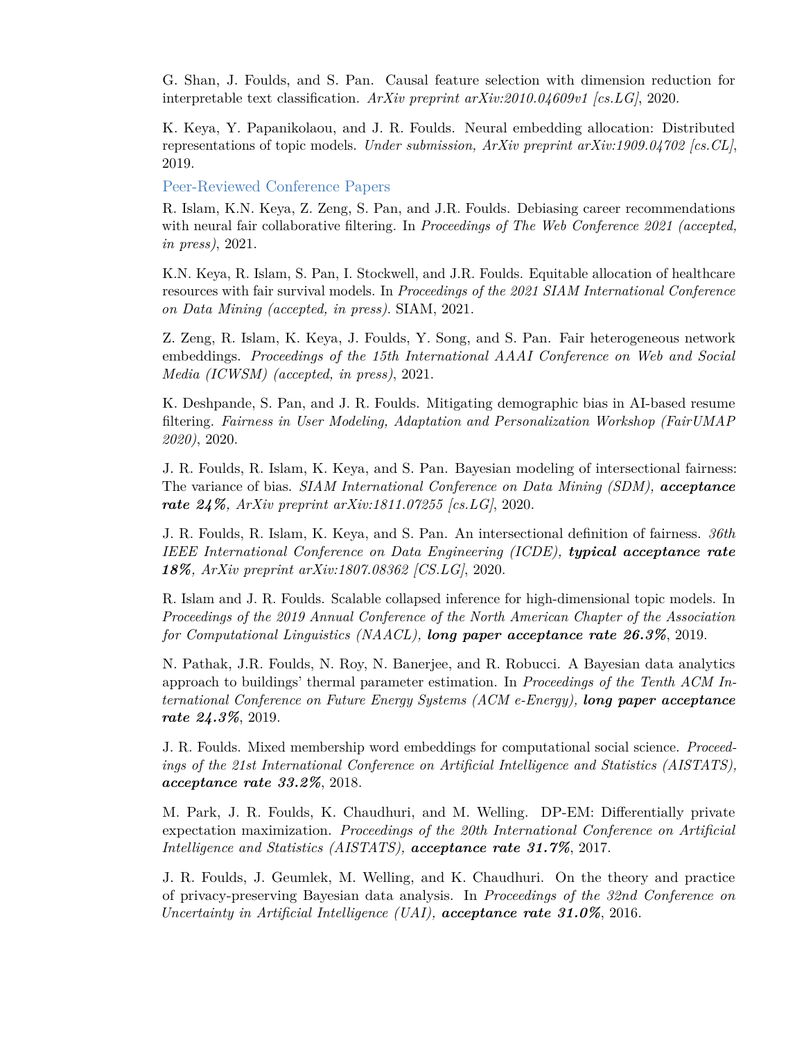G. Shan, J. Foulds, and S. Pan. Causal feature selection with dimension reduction for interpretable text classification. *ArXiv preprint arXiv:2010.04609v1 [cs.LG]*, 2020.

K. Keya, Y. Papanikolaou, and J. R. Foulds. Neural embedding allocation: Distributed representations of topic models. *Under submission, ArXiv preprint arXiv:1909.04702 [cs.CL]*, 2019.

Peer-Reviewed Conference Papers

R. Islam, K.N. Keya, Z. Zeng, S. Pan, and J.R. Foulds. Debiasing career recommendations with neural fair collaborative filtering. In *Proceedings of The Web Conference 2021 (accepted, in press)*, 2021.

K.N. Keya, R. Islam, S. Pan, I. Stockwell, and J.R. Foulds. Equitable allocation of healthcare resources with fair survival models. In *Proceedings of the 2021 SIAM International Conference on Data Mining (accepted, in press)*. SIAM, 2021.

Z. Zeng, R. Islam, K. Keya, J. Foulds, Y. Song, and S. Pan. Fair heterogeneous network embeddings. *Proceedings of the 15th International AAAI Conference on Web and Social Media (ICWSM) (accepted, in press)*, 2021.

K. Deshpande, S. Pan, and J. R. Foulds. Mitigating demographic bias in AI-based resume filtering. *Fairness in User Modeling, Adaptation and Personalization Workshop (FairUMAP 2020)*, 2020.

J. R. Foulds, R. Islam, K. Keya, and S. Pan. Bayesian modeling of intersectional fairness: The variance of bias. *SIAM International Conference on Data Mining (SDM), acceptance rate 24%, ArXiv preprint arXiv:1811.07255 [cs.LG]*, 2020.

J. R. Foulds, R. Islam, K. Keya, and S. Pan. An intersectional definition of fairness. *36th IEEE International Conference on Data Engineering (ICDE), typical acceptance rate 18%, ArXiv preprint arXiv:1807.08362 [CS.LG]*, 2020.

R. Islam and J. R. Foulds. Scalable collapsed inference for high-dimensional topic models. In *Proceedings of the 2019 Annual Conference of the North American Chapter of the Association for Computational Linguistics (NAACL), long paper acceptance rate 26.3%*, 2019.

N. Pathak, J.R. Foulds, N. Roy, N. Banerjee, and R. Robucci. A Bayesian data analytics approach to buildings' thermal parameter estimation. In *Proceedings of the Tenth ACM International Conference on Future Energy Systems (ACM e-Energy), long paper acceptance rate 24.3%*, 2019.

J. R. Foulds. Mixed membership word embeddings for computational social science. *Proceedings of the 21st International Conference on Artificial Intelligence and Statistics (AISTATS), acceptance rate 33.2%*, 2018.

M. Park, J. R. Foulds, K. Chaudhuri, and M. Welling. DP-EM: Differentially private expectation maximization. *Proceedings of the 20th International Conference on Artificial Intelligence and Statistics (AISTATS), acceptance rate 31.7%*, 2017.

J. R. Foulds, J. Geumlek, M. Welling, and K. Chaudhuri. On the theory and practice of privacy-preserving Bayesian data analysis. In *Proceedings of the 32nd Conference on Uncertainty in Artificial Intelligence (UAI), acceptance rate 31.0%*, 2016.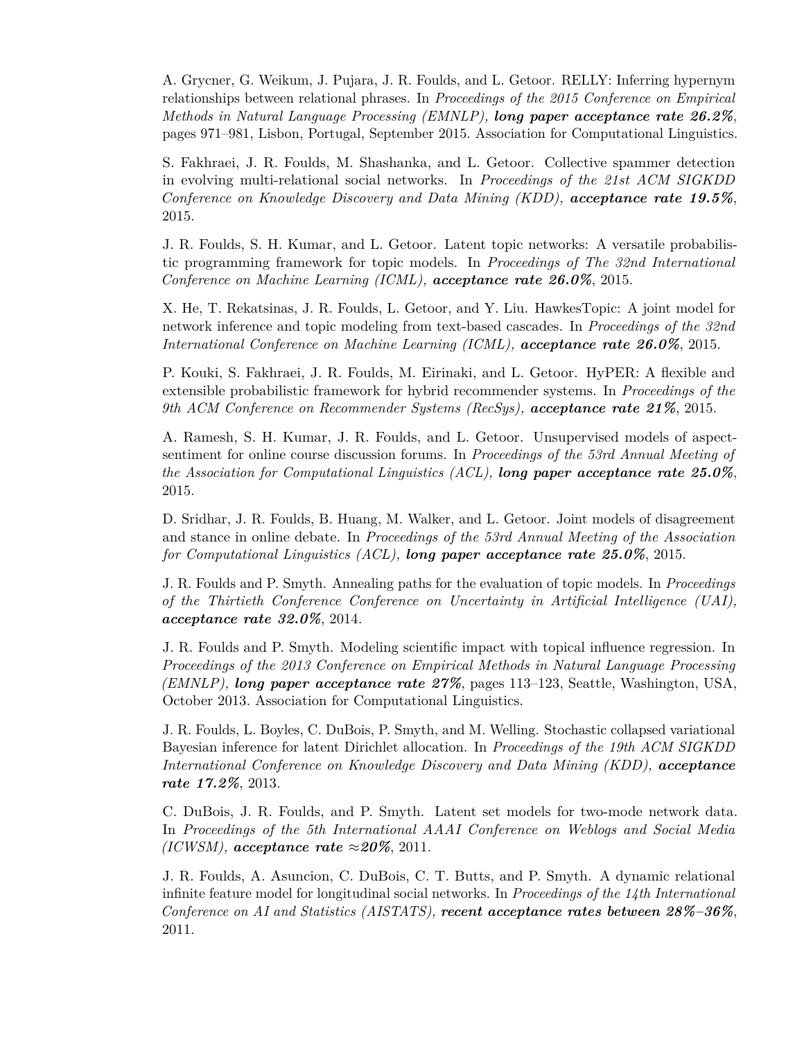A. Grycner, G. Weikum, J. Pujara, J. R. Foulds, and L. Getoor. RELLY: Inferring hypernym relationships between relational phrases. In *Proceedings of the 2015 Conference on Empirical Methods in Natural Language Processing (EMNLP), long paper acceptance rate 26.2%*, pages 971–981, Lisbon, Portugal, September 2015. Association for Computational Linguistics.

S. Fakhraei, J. R. Foulds, M. Shashanka, and L. Getoor. Collective spammer detection in evolving multi-relational social networks. In *Proceedings of the 21st ACM SIGKDD Conference on Knowledge Discovery and Data Mining (KDD), acceptance rate 19.5%*, 2015.

J. R. Foulds, S. H. Kumar, and L. Getoor. Latent topic networks: A versatile probabilistic programming framework for topic models. In *Proceedings of The 32nd International Conference on Machine Learning (ICML), acceptance rate 26.0%*, 2015.

X. He, T. Rekatsinas, J. R. Foulds, L. Getoor, and Y. Liu. HawkesTopic: A joint model for network inference and topic modeling from text-based cascades. In *Proceedings of the 32nd International Conference on Machine Learning (ICML), acceptance rate 26.0%*, 2015.

P. Kouki, S. Fakhraei, J. R. Foulds, M. Eirinaki, and L. Getoor. HyPER: A flexible and extensible probabilistic framework for hybrid recommender systems. In *Proceedings of the 9th ACM Conference on Recommender Systems (RecSys), acceptance rate 21%*, 2015.

A. Ramesh, S. H. Kumar, J. R. Foulds, and L. Getoor. Unsupervised models of aspectsentiment for online course discussion forums. In *Proceedings of the 53rd Annual Meeting of the Association for Computational Linguistics (ACL), long paper acceptance rate 25.0%*, 2015.

D. Sridhar, J. R. Foulds, B. Huang, M. Walker, and L. Getoor. Joint models of disagreement and stance in online debate. In *Proceedings of the 53rd Annual Meeting of the Association for Computational Linguistics (ACL), long paper acceptance rate 25.0%*, 2015.

J. R. Foulds and P. Smyth. Annealing paths for the evaluation of topic models. In *Proceedings of the Thirtieth Conference Conference on Uncertainty in Artificial Intelligence (UAI), acceptance rate 32.0%*, 2014.

J. R. Foulds and P. Smyth. Modeling scientific impact with topical influence regression. In *Proceedings of the 2013 Conference on Empirical Methods in Natural Language Processing (EMNLP), long paper acceptance rate 27%*, pages 113–123, Seattle, Washington, USA, October 2013. Association for Computational Linguistics.

J. R. Foulds, L. Boyles, C. DuBois, P. Smyth, and M. Welling. Stochastic collapsed variational Bayesian inference for latent Dirichlet allocation. In *Proceedings of the 19th ACM SIGKDD International Conference on Knowledge Discovery and Data Mining (KDD), acceptance rate 17.2%*, 2013.

C. DuBois, J. R. Foulds, and P. Smyth. Latent set models for two-mode network data. In *Proceedings of the 5th International AAAI Conference on Weblogs and Social Media (ICWSM), acceptance rate*  $\approx 20\%$ , 2011.

J. R. Foulds, A. Asuncion, C. DuBois, C. T. Butts, and P. Smyth. A dynamic relational infinite feature model for longitudinal social networks. In *Proceedings of the 14th International Conference on AI and Statistics (AISTATS), recent acceptance rates between 28%–36%*, 2011.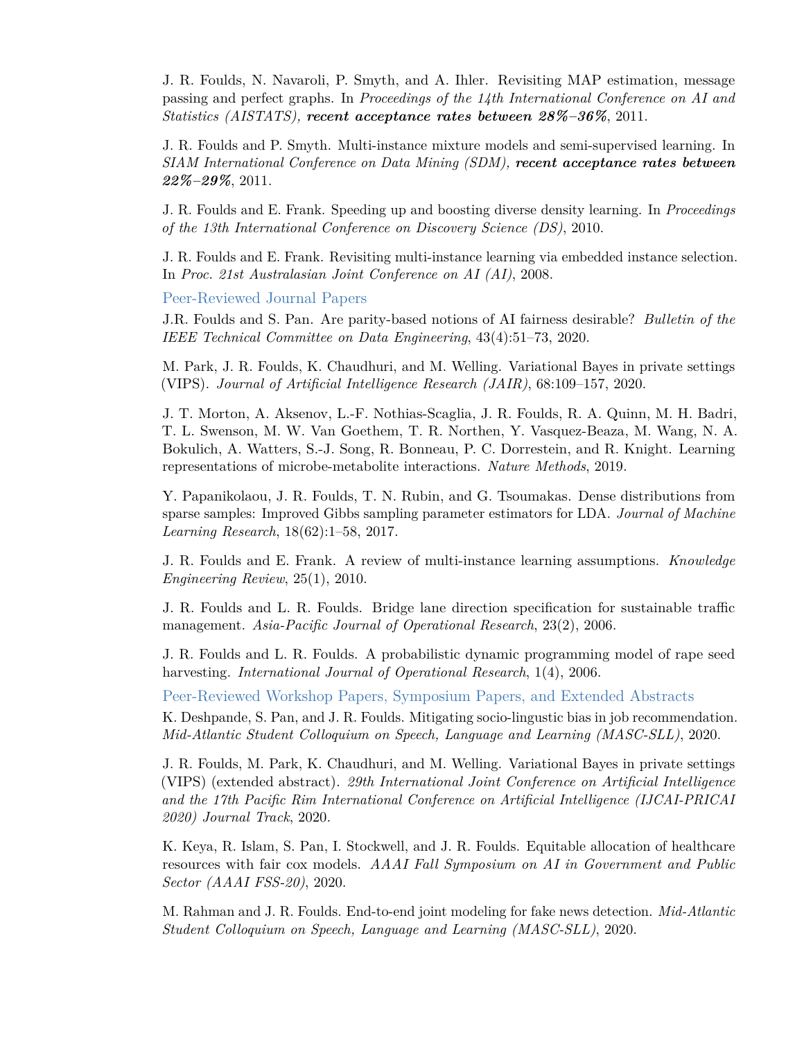J. R. Foulds, N. Navaroli, P. Smyth, and A. Ihler. Revisiting MAP estimation, message passing and perfect graphs. In *Proceedings of the 14th International Conference on AI and Statistics (AISTATS), recent acceptance rates between 28%–36%*, 2011.

J. R. Foulds and P. Smyth. Multi-instance mixture models and semi-supervised learning. In *SIAM International Conference on Data Mining (SDM), recent acceptance rates between 22%–29%*, 2011.

J. R. Foulds and E. Frank. Speeding up and boosting diverse density learning. In *Proceedings of the 13th International Conference on Discovery Science (DS)*, 2010.

J. R. Foulds and E. Frank. Revisiting multi-instance learning via embedded instance selection. In *Proc. 21st Australasian Joint Conference on AI (AI)*, 2008.

Peer-Reviewed Journal Papers

J.R. Foulds and S. Pan. Are parity-based notions of AI fairness desirable? *Bulletin of the IEEE Technical Committee on Data Engineering*, 43(4):51–73, 2020.

M. Park, J. R. Foulds, K. Chaudhuri, and M. Welling. Variational Bayes in private settings (VIPS). *Journal of Artificial Intelligence Research (JAIR)*, 68:109–157, 2020.

J. T. Morton, A. Aksenov, L.-F. Nothias-Scaglia, J. R. Foulds, R. A. Quinn, M. H. Badri, T. L. Swenson, M. W. Van Goethem, T. R. Northen, Y. Vasquez-Beaza, M. Wang, N. A. Bokulich, A. Watters, S.-J. Song, R. Bonneau, P. C. Dorrestein, and R. Knight. Learning representations of microbe-metabolite interactions. *Nature Methods*, 2019.

Y. Papanikolaou, J. R. Foulds, T. N. Rubin, and G. Tsoumakas. Dense distributions from sparse samples: Improved Gibbs sampling parameter estimators for LDA. *Journal of Machine Learning Research*, 18(62):1–58, 2017.

J. R. Foulds and E. Frank. A review of multi-instance learning assumptions. *Knowledge Engineering Review*, 25(1), 2010.

J. R. Foulds and L. R. Foulds. Bridge lane direction specification for sustainable traffic management. *Asia-Pacific Journal of Operational Research*, 23(2), 2006.

J. R. Foulds and L. R. Foulds. A probabilistic dynamic programming model of rape seed harvesting. *International Journal of Operational Research*, 1(4), 2006.

Peer-Reviewed Workshop Papers, Symposium Papers, and Extended Abstracts

K. Deshpande, S. Pan, and J. R. Foulds. Mitigating socio-lingustic bias in job recommendation. *Mid-Atlantic Student Colloquium on Speech, Language and Learning (MASC-SLL)*, 2020.

J. R. Foulds, M. Park, K. Chaudhuri, and M. Welling. Variational Bayes in private settings (VIPS) (extended abstract). *29th International Joint Conference on Artificial Intelligence and the 17th Pacific Rim International Conference on Artificial Intelligence (IJCAI-PRICAI 2020) Journal Track*, 2020.

K. Keya, R. Islam, S. Pan, I. Stockwell, and J. R. Foulds. Equitable allocation of healthcare resources with fair cox models. *AAAI Fall Symposium on AI in Government and Public Sector (AAAI FSS-20)*, 2020.

M. Rahman and J. R. Foulds. End-to-end joint modeling for fake news detection. *Mid-Atlantic Student Colloquium on Speech, Language and Learning (MASC-SLL)*, 2020.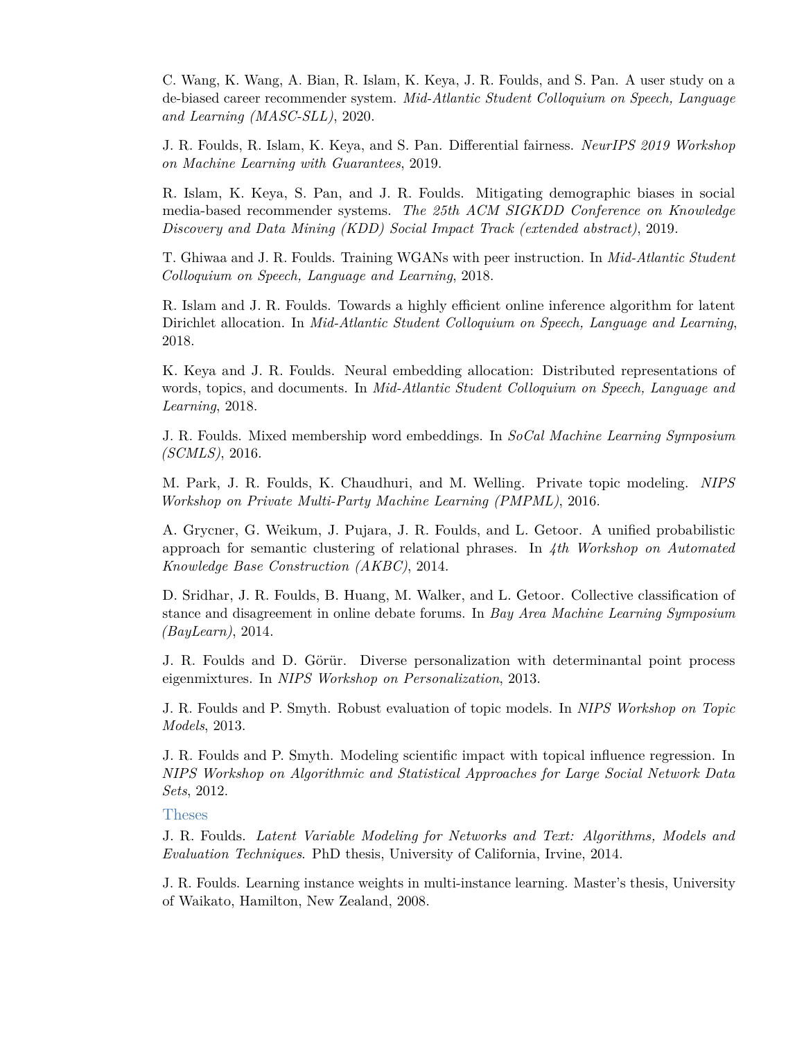C. Wang, K. Wang, A. Bian, R. Islam, K. Keya, J. R. Foulds, and S. Pan. A user study on a de-biased career recommender system. *Mid-Atlantic Student Colloquium on Speech, Language and Learning (MASC-SLL)*, 2020.

J. R. Foulds, R. Islam, K. Keya, and S. Pan. Differential fairness. *NeurIPS 2019 Workshop on Machine Learning with Guarantees*, 2019.

R. Islam, K. Keya, S. Pan, and J. R. Foulds. Mitigating demographic biases in social media-based recommender systems. *The 25th ACM SIGKDD Conference on Knowledge Discovery and Data Mining (KDD) Social Impact Track (extended abstract)*, 2019.

T. Ghiwaa and J. R. Foulds. Training WGANs with peer instruction. In *Mid-Atlantic Student Colloquium on Speech, Language and Learning*, 2018.

R. Islam and J. R. Foulds. Towards a highly efficient online inference algorithm for latent Dirichlet allocation. In *Mid-Atlantic Student Colloquium on Speech, Language and Learning*, 2018.

K. Keya and J. R. Foulds. Neural embedding allocation: Distributed representations of words, topics, and documents. In *Mid-Atlantic Student Colloquium on Speech, Language and Learning*, 2018.

J. R. Foulds. Mixed membership word embeddings. In *SoCal Machine Learning Symposium (SCMLS)*, 2016.

M. Park, J. R. Foulds, K. Chaudhuri, and M. Welling. Private topic modeling. *NIPS Workshop on Private Multi-Party Machine Learning (PMPML)*, 2016.

A. Grycner, G. Weikum, J. Pujara, J. R. Foulds, and L. Getoor. A unified probabilistic approach for semantic clustering of relational phrases. In *4th Workshop on Automated Knowledge Base Construction (AKBC)*, 2014.

D. Sridhar, J. R. Foulds, B. Huang, M. Walker, and L. Getoor. Collective classification of stance and disagreement in online debate forums. In *Bay Area Machine Learning Symposium (BayLearn)*, 2014.

J. R. Foulds and D. Görür. Diverse personalization with determinantal point process eigenmixtures. In *NIPS Workshop on Personalization*, 2013.

J. R. Foulds and P. Smyth. Robust evaluation of topic models. In *NIPS Workshop on Topic Models*, 2013.

J. R. Foulds and P. Smyth. Modeling scientific impact with topical influence regression. In *NIPS Workshop on Algorithmic and Statistical Approaches for Large Social Network Data Sets*, 2012.

#### Theses

J. R. Foulds. *Latent Variable Modeling for Networks and Text: Algorithms, Models and Evaluation Techniques*. PhD thesis, University of California, Irvine, 2014.

J. R. Foulds. Learning instance weights in multi-instance learning. Master's thesis, University of Waikato, Hamilton, New Zealand, 2008.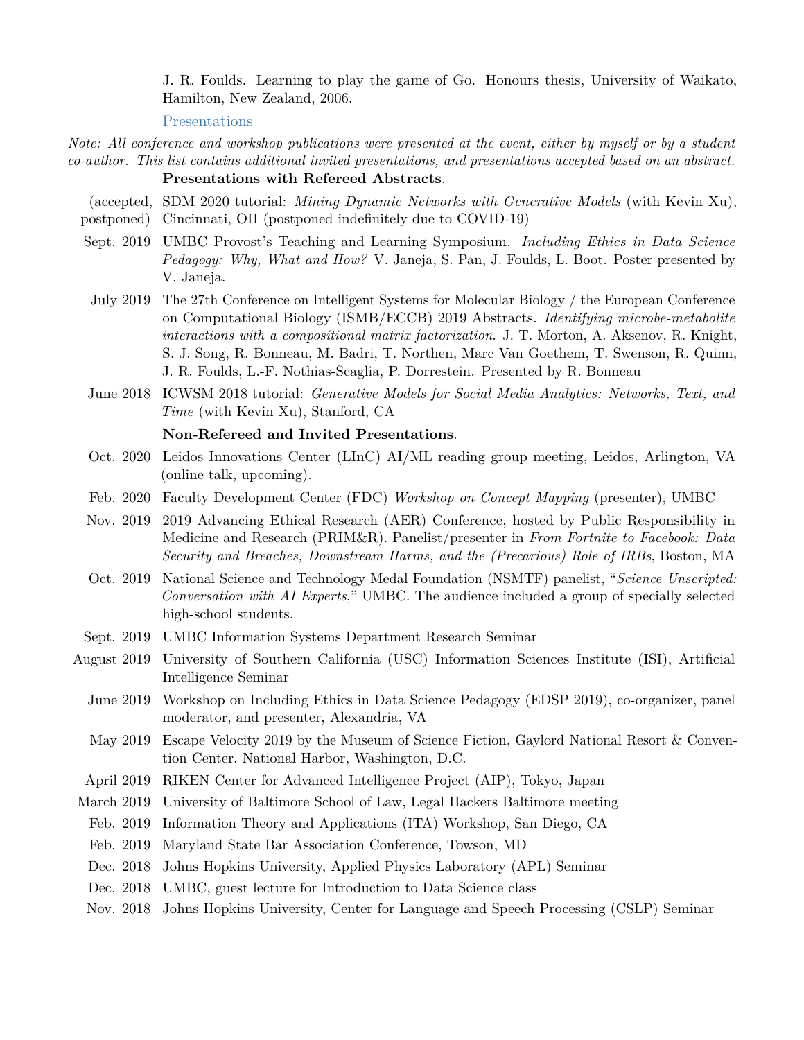J. R. Foulds. [Learning to play the game of Go.](http://www.cs.waikato.ac.nz/~jf47/FouldsLearningGo06.pdf) Honours thesis, University of Waikato, Hamilton, New Zealand, 2006.

Presentations

*Note: All conference and workshop publications were presented at the event, either by myself or by a student co-author. This list contains additional invited presentations, and presentations accepted based on an abstract.* **Presentations with Refereed Abstracts**.

(accepted, SDM 2020 tutorial: *Mining Dynamic Networks with Generative Models* (with Kevin Xu),

- postponed) Cincinnati, OH (postponed indefinitely due to COVID-19)
- Sept. 2019 UMBC Provost's Teaching and Learning Symposium. *Including Ethics in Data Science Pedagogy: Why, What and How?* V. Janeja, S. Pan, J. Foulds, L. Boot. Poster presented by V. Janeja.
- July 2019 The 27th Conference on Intelligent Systems for Molecular Biology / the European Conference on Computational Biology (ISMB/ECCB) 2019 Abstracts. *Identifying microbe-metabolite interactions with a compositional matrix factorization*. J. T. Morton, A. Aksenov, R. Knight, S. J. Song, R. Bonneau, M. Badri, T. Northen, Marc Van Goethem, T. Swenson, R. Quinn, J. R. Foulds, L.-F. Nothias-Scaglia, P. Dorrestein. Presented by R. Bonneau
- June 2018 ICWSM 2018 tutorial: *Generative Models for Social Media Analytics: Networks, Text, and Time* (with Kevin Xu), Stanford, CA

## **Non-Refereed and Invited Presentations**.

- Oct. 2020 Leidos Innovations Center (LInC) AI/ML reading group meeting, Leidos, Arlington, VA (online talk, upcoming).
- Feb. 2020 Faculty Development Center (FDC) *Workshop on Concept Mapping* (presenter), UMBC
- Nov. 2019 2019 Advancing Ethical Research (AER) Conference, hosted by Public Responsibility in Medicine and Research (PRIM&R). Panelist/presenter in *From Fortnite to Facebook: Data Security and Breaches, Downstream Harms, and the (Precarious) Role of IRBs*, Boston, MA
- Oct. 2019 National Science and Technology Medal Foundation (NSMTF) panelist, "*Science Unscripted: Conversation with AI Experts*," UMBC. The audience included a group of specially selected high-school students.
- Sept. 2019 UMBC Information Systems Department Research Seminar
- August 2019 University of Southern California (USC) Information Sciences Institute (ISI), Artificial Intelligence Seminar
	- June 2019 Workshop on Including Ethics in Data Science Pedagogy (EDSP 2019), co-organizer, panel moderator, and presenter, Alexandria, VA
	- May 2019 Escape Velocity 2019 by the Museum of Science Fiction, Gaylord National Resort & Convention Center, National Harbor, Washington, D.C.
- April 2019 RIKEN Center for Advanced Intelligence Project (AIP), Tokyo, Japan
- March 2019 University of Baltimore School of Law, Legal Hackers Baltimore meeting
- Feb. 2019 Information Theory and Applications (ITA) Workshop, San Diego, CA
- Feb. 2019 Maryland State Bar Association Conference, Towson, MD
- Dec. 2018 Johns Hopkins University, Applied Physics Laboratory (APL) Seminar
- Dec. 2018 UMBC, guest lecture for Introduction to Data Science class
- Nov. 2018 Johns Hopkins University, Center for Language and Speech Processing (CSLP) Seminar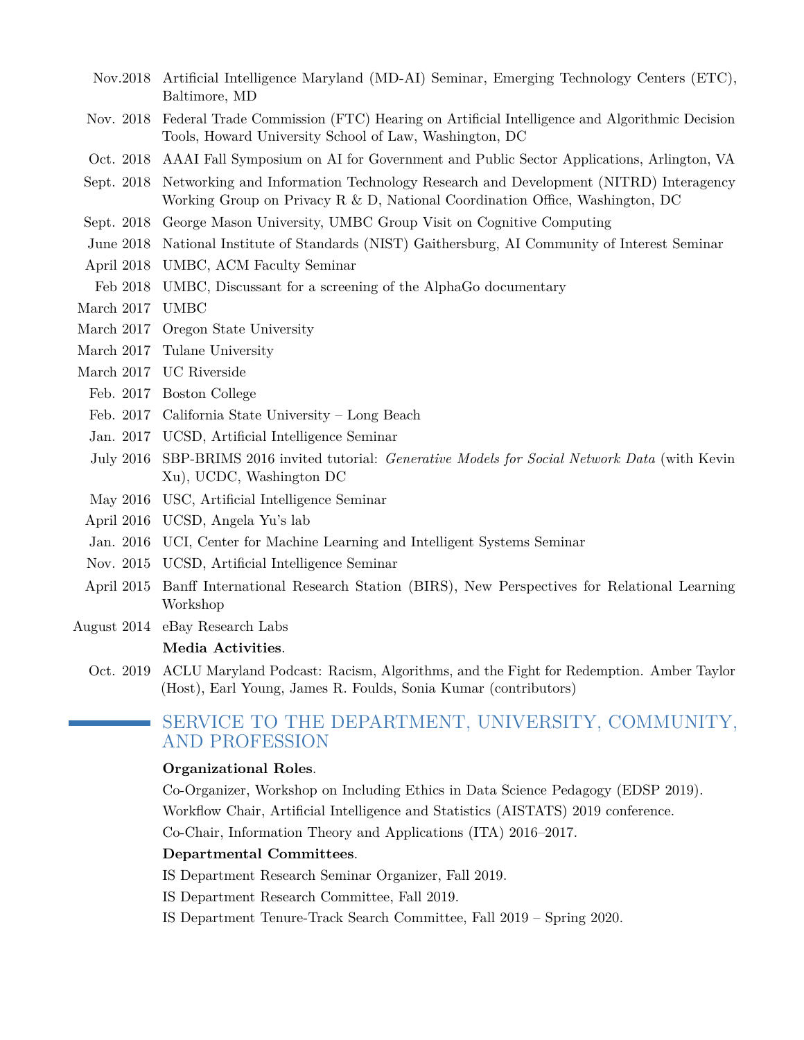- Nov.2018 Artificial Intelligence Maryland (MD-AI) Seminar, Emerging Technology Centers (ETC), Baltimore, MD
- Nov. 2018 Federal Trade Commission (FTC) Hearing on Artificial Intelligence and Algorithmic Decision Tools, Howard University School of Law, Washington, DC
- Oct. 2018 AAAI Fall Symposium on AI for Government and Public Sector Applications, Arlington, VA
- Sept. 2018 Networking and Information Technology Research and Development (NITRD) Interagency Working Group on Privacy R & D, National Coordination Office, Washington, DC
- Sept. 2018 George Mason University, UMBC Group Visit on Cognitive Computing
- June 2018 National Institute of Standards (NIST) Gaithersburg, AI Community of Interest Seminar
- April 2018 UMBC, ACM Faculty Seminar
- Feb 2018 UMBC, Discussant for a screening of the AlphaGo documentary
- March 2017 UMBC
- March 2017 Oregon State University
- March 2017 Tulane University
- March 2017 UC Riverside
- Feb. 2017 Boston College
- Feb. 2017 California State University Long Beach
- Jan. 2017 UCSD, Artificial Intelligence Seminar
- July 2016 SBP-BRIMS 2016 invited tutorial: *Generative Models for Social Network Data* (with Kevin Xu), UCDC, Washington DC
- May 2016 USC, Artificial Intelligence Seminar
- April 2016 UCSD, Angela Yu's lab
- Jan. 2016 UCI, Center for Machine Learning and Intelligent Systems Seminar
- Nov. 2015 UCSD, Artificial Intelligence Seminar
- April 2015 Banff International Research Station (BIRS), New Perspectives for Relational Learning Workshop
- August 2014 eBay Research Labs

#### **Media Activities**.

Oct. 2019 ACLU Maryland Podcast: Racism, Algorithms, and the Fight for Redemption. Amber Taylor (Host), Earl Young, James R. Foulds, Sonia Kumar (contributors)

## SERVICE TO THE DEPARTMENT, UNIVERSITY, COMMUNITY, AND PROFESSION

#### **Organizational Roles**.

Co-Organizer, Workshop on Including Ethics in Data Science Pedagogy (EDSP 2019). Workflow Chair, Artificial Intelligence and Statistics (AISTATS) 2019 conference. Co-Chair, Information Theory and Applications (ITA) 2016–2017.

## **Departmental Committees**.

- IS Department Research Seminar Organizer, Fall 2019.
- IS Department Research Committee, Fall 2019.
- IS Department Tenure-Track Search Committee, Fall 2019 Spring 2020.